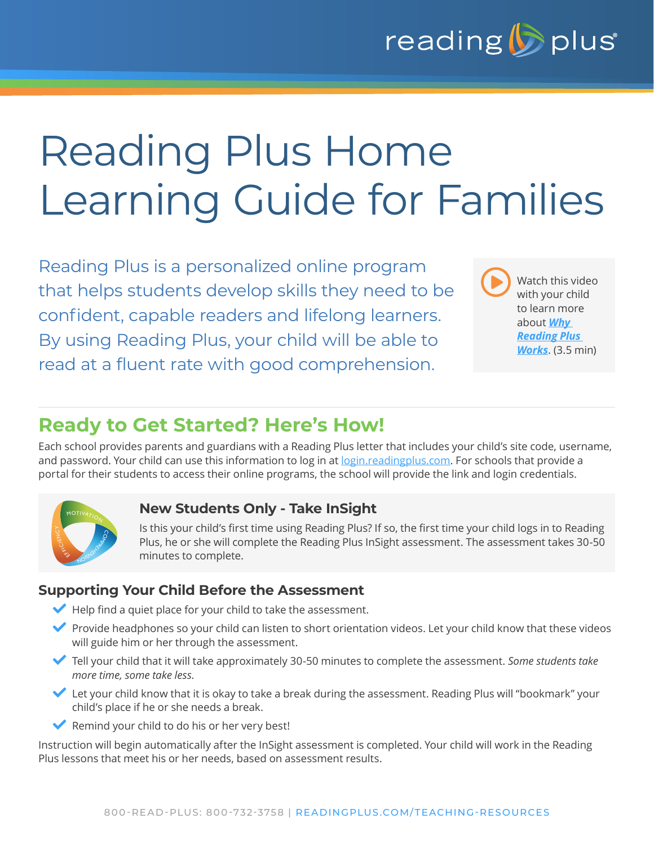

# Reading Plus Home Learning Guide for Families

Reading Plus is a personalized online program that helps students develop skills they need to be confident, capable readers and lifelong learners. By using Reading Plus, your child will be able to read at a fluent rate with good comprehension.

Watch this video with your child to learn more about *[Why](https://news.readingplus.com/why-reading-plus-works-video)  [Reading Plus](https://news.readingplus.com/why-reading-plus-works-video)  [Works](https://news.readingplus.com/why-reading-plus-works-video)*. (3.5 min)  $\blacktriangleright$ 

## **Ready to Get Started? Here's How!**

Each school provides parents and guardians with a Reading Plus letter that includes your child's site code, username, and password. Your child can use this information to log in at [login.readingplus.com.](http://login.readingplus.com) For schools that provide a portal for their students to access their online programs, the school will provide the link and login credentials.



#### **New Students Only - Take InSight**

Is this your child's first time using Reading Plus? If so, the first time your child logs in to Reading Plus, he or she will complete the Reading Plus InSight assessment. The assessment takes 30-50 minutes to complete.

#### **Supporting Your Child Before the Assessment**

- $\blacktriangleright$  Help find a quiet place for your child to take the assessment.
- Provide headphones so your child can listen to short orientation videos. Let your child know that these videos will guide him or her through the assessment.
- L Tell your child that it will take approximately 30-50 minutes to complete the assessment. *Some students take more time, some take less.*
- Let your child know that it is okay to take a break during the assessment. Reading Plus will "bookmark" your child's place if he or she needs a break.
- $\blacktriangleright$  Remind your child to do his or her very best!

Instruction will begin automatically after the InSight assessment is completed. Your child will work in the Reading Plus lessons that meet his or her needs, based on assessment results.